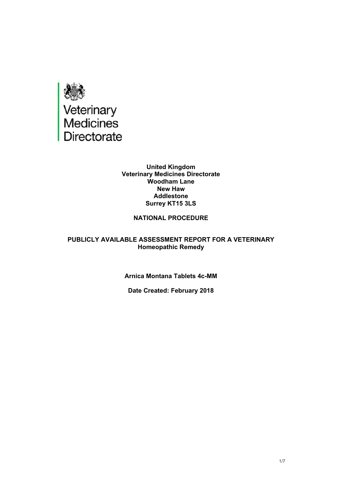

#### **United Kingdom Veterinary Medicines Directorate Woodham Lane New Haw Addlestone Surrey KT15 3LS**

### **NATIONAL PROCEDURE**

#### **PUBLICLY AVAILABLE ASSESSMENT REPORT FOR A VETERINARY Homeopathic Remedy**

#### **Arnica Montana Tablets 4c-MM**

#### **Date Created: February 2018**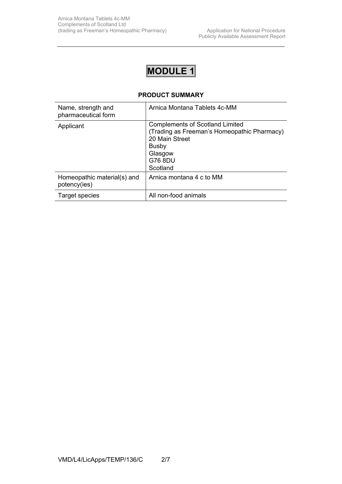# **MODULE 1**

#### **PRODUCT SUMMARY**

| Name, strength and<br>pharmaceutical form   | Arnica Montana Tablets 4c-MM                                                                                                                              |
|---------------------------------------------|-----------------------------------------------------------------------------------------------------------------------------------------------------------|
| Applicant                                   | <b>Complements of Scotland Limited</b><br>(Trading as Freeman's Homeopathic Pharmacy)<br>20 Main Street<br><b>Busby</b><br>Glasgow<br>G76 8DU<br>Scotland |
| Homeopathic material(s) and<br>potency(ies) | Arnica montana 4 c to MM                                                                                                                                  |
| Target species                              | All non-food animals                                                                                                                                      |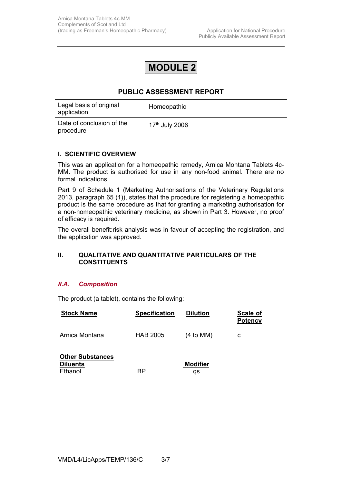## **MODULE 2**

## **PUBLIC ASSESSMENT REPORT**

| Legal basis of original<br>application | Homeopathic                |
|----------------------------------------|----------------------------|
| Date of conclusion of the<br>procedure | 17 <sup>th</sup> July 2006 |

#### **I. SCIENTIFIC OVERVIEW**

This was an application for a homeopathic remedy, Arnica Montana Tablets 4c-MM. The product is authorised for use in any non-food animal. There are no formal indications.

Part 9 of Schedule 1 (Marketing Authorisations of the Veterinary Regulations 2013, paragraph 65 (1)), states that the procedure for registering a homeopathic product is the same procedure as that for granting a marketing authorisation for a non-homeopathic veterinary medicine, as shown in Part 3. However, no proof of efficacy is required.

The overall benefit:risk analysis was in favour of accepting the registration, and the application was approved.

#### **II. QUALITATIVE AND QUANTITATIVE PARTICULARS OF THE CONSTITUENTS**

#### *II.A. Composition*

The product (a tablet), contains the following:

| <b>Stock Name</b>                                     | <b>Specification</b> | <b>Dilution</b>       | Scale of<br><b>Potency</b> |
|-------------------------------------------------------|----------------------|-----------------------|----------------------------|
| Arnica Montana                                        | <b>HAB 2005</b>      | (4 to MM)             | с                          |
| <b>Other Substances</b><br><b>Diluents</b><br>Ethanol | ВP                   | <b>Modifier</b><br>qs |                            |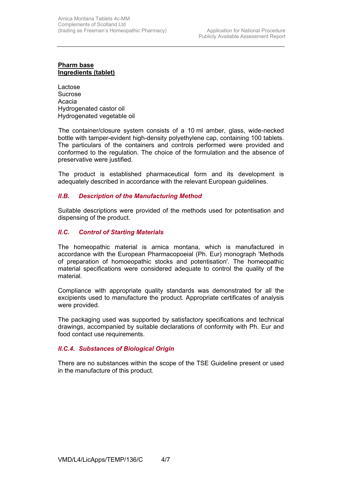#### **Pharm base Ingredients (tablet)**

Lactose Sucrose Acacia Hydrogenated castor oil Hydrogenated vegetable oil

 The container/closure system consists of a 10 ml amber, glass, wide-necked bottle with tamper-evident high-density polyethylene cap, containing 100 tablets. The particulars of the containers and controls performed were provided and conformed to the regulation. The choice of the formulation and the absence of preservative were justified.

 The product is established pharmaceutical form and its development is adequately described in accordance with the relevant European guidelines.

#### *II.B. Description of the Manufacturing Method*

Suitable descriptions were provided of the methods used for potentisation and dispensing of the product.

#### *II.C. Control of Starting Materials*

The homeopathic material is arnica montana, which is manufactured in accordance with the European Pharmacopoeial (Ph. Eur) monograph 'Methods of preparation of homoeopathic stocks and potentisation'. The homeopathic material specifications were considered adequate to control the quality of the material.

Compliance with appropriate quality standards was demonstrated for all the excipients used to manufacture the product. Appropriate certificates of analysis were provided.

The packaging used was supported by satisfactory specifications and technical drawings, accompanied by suitable declarations of conformity with Ph. Eur and food contact use requirements.

#### *II.C.4. Substances of Biological Origin*

There are no substances within the scope of the TSE Guideline present or used in the manufacture of this product*.*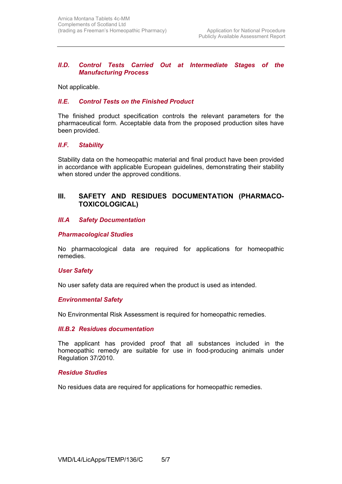#### *II.D. Control Tests Carried Out at Intermediate Stages of the Manufacturing Process*

Not applicable.

#### *II.E. Control Tests on the Finished Product*

The finished product specification controls the relevant parameters for the pharmaceutical form. Acceptable data from the proposed production sites have been provided.

#### *II.F. Stability*

Stability data on the homeopathic material and final product have been provided in accordance with applicable European guidelines, demonstrating their stability when stored under the approved conditions.

### **III. SAFETY AND RESIDUES DOCUMENTATION (PHARMACO-TOXICOLOGICAL)**

#### *III.A Safety Documentation*

#### *Pharmacological Studies*

No pharmacological data are required for applications for homeopathic remedies.

#### *User Safety*

No user safety data are required when the product is used as intended.

#### *Environmental Safety*

No Environmental Risk Assessment is required for homeopathic remedies.

#### *III.B.2 Residues documentation*

The applicant has provided proof that all substances included in the homeopathic remedy are suitable for use in food-producing animals under Regulation 37/2010.

#### *Residue Studies*

No residues data are required for applications for homeopathic remedies.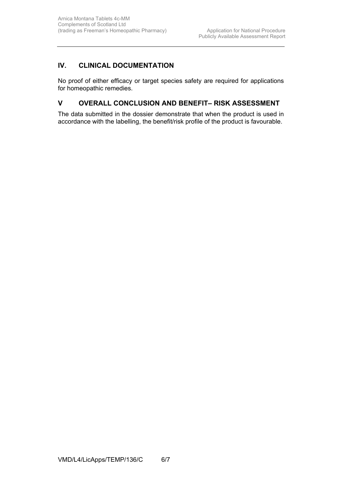## **IV. CLINICAL DOCUMENTATION**

No proof of either efficacy or target species safety are required for applications for homeopathic remedies.

## **V OVERALL CONCLUSION AND BENEFIT– RISK ASSESSMENT**

The data submitted in the dossier demonstrate that when the product is used in accordance with the labelling, the benefit/risk profile of the product is favourable.